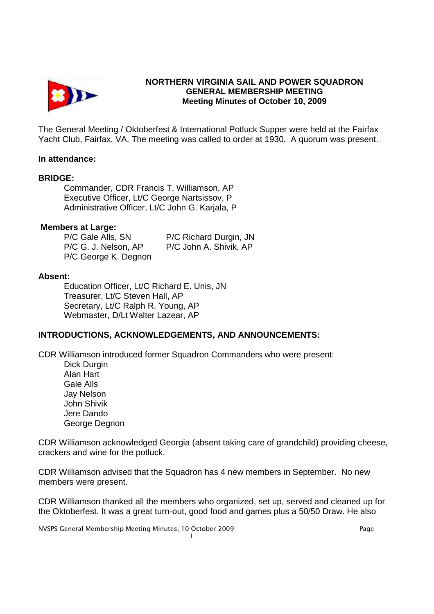

# **NORTHERN VIRGINIA SAIL AND POWER SQUADRON GENERAL MEMBERSHIP MEETING Meeting Minutes of October 10, 2009**

The General Meeting / Oktoberfest & International Potluck Supper were held at the Fairfax Yacht Club, Fairfax, VA. The meeting was called to order at 1930. A quorum was present.

### **In attendance:**

### **BRIDGE:**

 Commander, CDR Francis T. Williamson, AP Executive Officer, Lt/C George Nartsissov, P Administrative Officer, Lt/C John G. Karjala, P

### **Members at Large:**

| P/C Gale Alls, SN    | P/C Richard Durgin, JN |
|----------------------|------------------------|
| P/C G. J. Nelson, AP | P/C John A. Shivik, AP |
| P/C George K. Degnon |                        |

### **Absent:**

Education Officer, Lt/C Richard E. Unis, JN Treasurer, Lt/C Steven Hall, AP Secretary, Lt/C Ralph R. Young, AP Webmaster, D/Lt Walter Lazear, AP

## **INTRODUCTIONS, ACKNOWLEDGEMENTS, AND ANNOUNCEMENTS:**

CDR Williamson introduced former Squadron Commanders who were present:

 Dick Durgin Alan Hart Gale Alls Jay Nelson John Shivik Jere Dando George Degnon

CDR Williamson acknowledged Georgia (absent taking care of grandchild) providing cheese, crackers and wine for the potluck.

CDR Williamson advised that the Squadron has 4 new members in September. No new members were present.

CDR Williamson thanked all the members who organized, set up, served and cleaned up for the Oktoberfest. It was a great turn-out, good food and games plus a 50/50 Draw. He also

NVSPS General Membership Meeting Minutes, 10 October 2009 Page 1